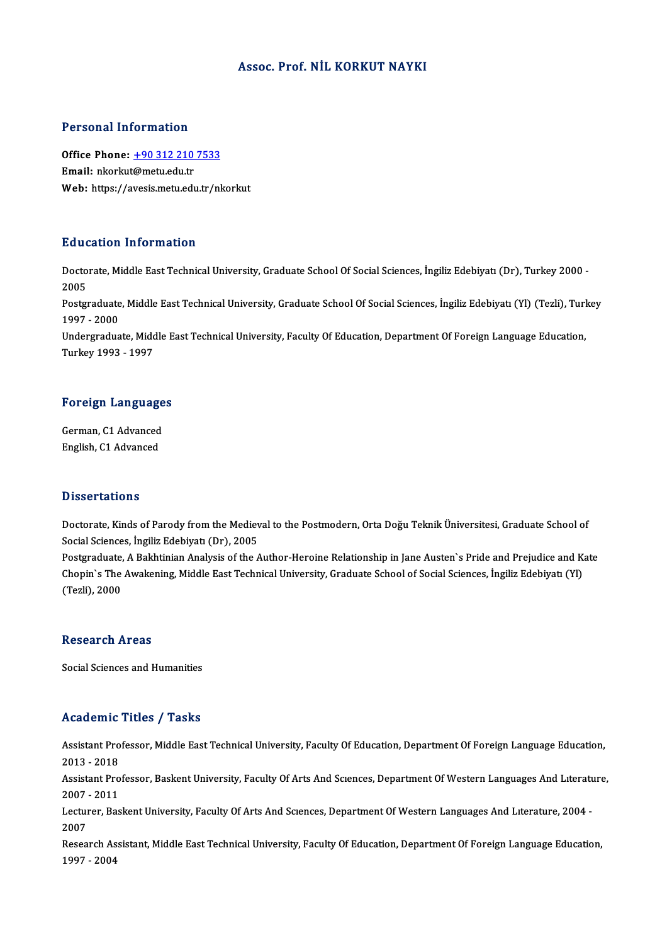#### Assoc. Prof. NİL KORKUT NAYKI

#### Personal Information

Personal Information<br>Office Phone: <u>+90 312 210 7533</u><br>Email: plerlat@matu.edu.tr office Phone: <u>+90 312 210</u><br>Email: nkorkut[@metu.edu.tr](tel:+90 312 210 7533)<br>Web: https://avesis.metu.edu Email: nkorkut@metu.edu.tr<br>Web: https://avesis.metu.edu.tr/nkorkut

#### Education Information

**Education Information**<br>Doctorate, Middle East Technical University, Graduate School Of Social Sciences, İngiliz Edebiyatı (Dr), Turkey 2000 -<br>2005 Bata<br>Docto<br>2005<br>Bostev Doctorate, Middle East Technical University, Graduate School Of Social Sciences, İngiliz Edebiyatı (Dr), Turkey 2000 -<br>2005<br>Postgraduate, Middle East Technical University, Graduate School Of Social Sciences, İngiliz Edebiy

2005<br>Postgraduate<br>1997 - 2000<br>Undergradua Postgraduate, Middle East Technical University, Graduate School Of Social Sciences, İngiliz Edebiyatı (Yl) (Tezli), Turl<br>1997 - 2000<br>Undergraduate, Middle East Technical University, Faculty Of Education, Department Of Fore

1997 - 2000<br>Undergraduate, Middle East Technical University, Faculty Of Education, Department Of Foreign Language Education,<br>Turkey 1993 - 1997

# Turkey 1993 - 1997<br>Foreign Languages

Foreign Language<br>German, C1 Advanced<br>English C1 Advanced German, C1 Advanced<br>English, C1 Advanced

#### **Dissertations**

Dissertations<br>Doctorate, Kinds of Parody from the Medieval to the Postmodern, Orta Doğu Teknik Üniversitesi, Graduate School of<br>Sosial Sciences, İngiliz Edebiyatı (Dr.), 2005 Basser carrens<br>Doctorate, Kinds of Parody from the Mediev<br>Social Sciences, İngiliz Edebiyatı (Dr), 2005<br>Postavaduate, A Bakhtinian Analysis of the A Doctorate, Kinds of Parody from the Medieval to the Postmodern, Orta Doğu Teknik Üniversitesi, Graduate School of<br>Social Sciences, İngiliz Edebiyatı (Dr), 2005<br>Postgraduate, A Bakhtinian Analysis of the Author-Heroine Rela

Social Sciences, İngiliz Edebiyatı (Dr), 2005<br>Postgraduate, A Bakhtinian Analysis of the Author-Heroine Relationship in Jane Austen`s Pride and Prejudice and K<br>Chopin`s The Awakening, Middle East Technical University, Grad Postgraduate,<br>Chopin`s The<br>(Tezli), 2000 (Tezli), 2000<br>Research Areas

Social Sciences and Humanities

#### Academic Titles / Tasks

Academic Titles / Tasks<br>Assistant Professor, Middle East Technical University, Faculty Of Education, Department Of Foreign Language Education,<br>2013 - 2019 Assistant Pro<br>2013 - 2018<br>Assistant Pro Assistant Professor, Middle East Technical University, Faculty Of Education, Department Of Foreign Language Education,<br>2013 - 2018<br>Assistant Professor, Baskent University, Faculty Of Arts And Scıences, Department Of Wester 2013 - 2018<br>Assistant Pro<br>2007 - 2011<br>Legturer, Bee Assistant Professor, Baskent University, Faculty Of Arts And Scıences, Department Of Western Languages And Lıteratu<br>2007 - 2011<br>Lecturer, Baskent University, Faculty Of Arts And Scıences, Department Of Western Languages An 2007 - 2011<br>Lecturer, Baskent University, Faculty Of Arts And Sciences, Department Of Western Languages And Literature, 2004 -<br>2007 Lecturer, Baskent University, Faculty Of Arts And Sciences, Department Of Western Languages And Literature, 2004<br>2007<br>Research Assistant, Middle East Technical University, Faculty Of Education, Department Of Foreign Langua 2007<br>Research Ass<br>1997 - 2004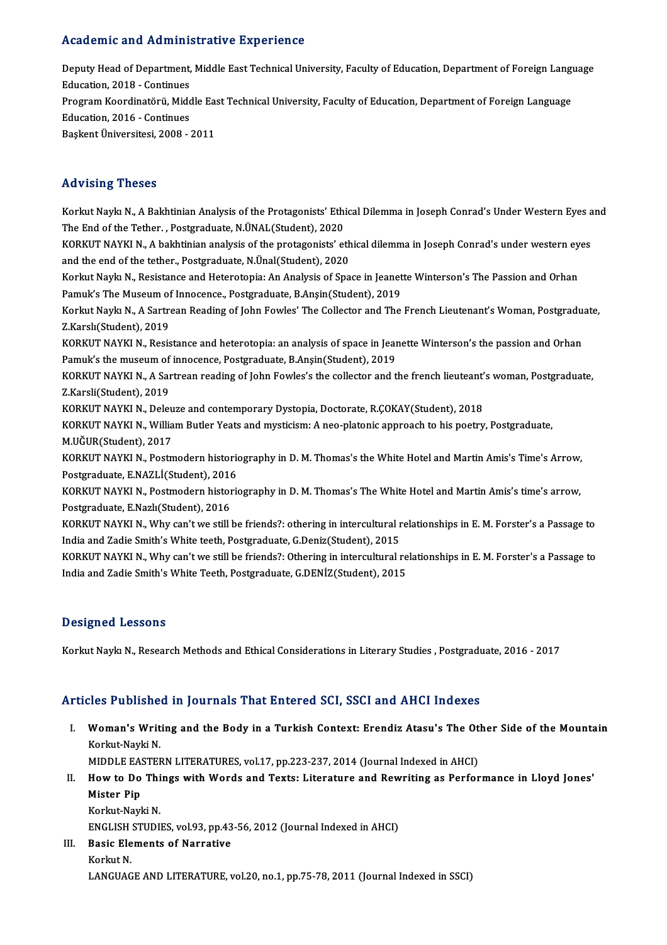#### Academic and Administrative Experience

Academic and Administrative Experience<br>Deputy Head of Department, Middle East Technical University, Faculty of Education, Department of Foreign Language<br>Education 2018, Continues Education, and Trammin<br>Deputy Head of Department,<br>Education, 2018 - Continues Deputy Head of Department, Middle East Technical University, Faculty of Education, Department of Foreign Langu<br>Education, 2018 - Continues<br>Program Koordinatörü, Middle East Technical University, Faculty of Education, Depar Education, 2018 - Continues<br>Program Koordinatörü, Midc<br>Education, 2016 - Continues<br>Paskent Üniversitesi, 2008 Program Koordinatörü, Middle Ea:<br>Education, 2016 - Continues<br>Başkent Üniversitesi, 2008 - 2011 Başkent Üniversitesi, 2008 - 2011<br>Advising Theses

Advising Theses<br>Korkut Naykı N., A Bakhtinian Analysis of the Protagonists' Ethical Dilemma in Joseph Conrad's Under Western Eyes and<br>The End of the Tether, Restspeduate N ÜNAL (Student), 2020 The Vising TheBes<br>Korkut Naykı N., A Bakhtinian Analysis of the Protagonists' Ethi<br>The End of the Tether. , Postgraduate, N.ÜNAL(Student), 2020<br>KORKUT NAYKLN. A bakhtinian analysis of the protagonists' st Korkut Naykı N., A Bakhtinian Analysis of the Protagonists' Ethical Dilemma in Joseph Conrad's Under Western Eyes a<br>The End of the Tether. , Postgraduate, N.ÜNAL(Student), 2020<br>KORKUT NAYKI N., A bakhtinian analysis of the The End of the Tether., Postgraduate, N.ÜNAL(Student), 2020<br>KORKUT NAYKI N., A bakhtinian analysis of the protagonists' eth<br>and the end of the tether., Postgraduate, N.Ünal(Student), 2020<br>Korkut Naylu N., Positiance and He KORKUT NAYKI N., A bakhtinian analysis of the protagonists' ethical dilemma in Joseph Conrad's under western ey<br>and the end of the tether., Postgraduate, N.Ünal(Student), 2020<br>Korkut Naykı N., Resistance and Heterotopia: A and the end of the tether., Postgraduate, N.Ünal(Student), 2020<br>Korkut Naykı N., Resistance and Heterotopia: An Analysis of Space in Jeanet<br>Pamuk's The Museum of Innocence., Postgraduate, B.Anşin(Student), 2019<br>Korkut Navk Korkut Naykı N., Resistance and Heterotopia: An Analysis of Space in Jeanette Winterson's The Passion and Orhan<br>Pamuk's The Museum of Innocence., Postgraduate, B.Anşin(Student), 2019<br>Korkut Naykı N., A Sartrean Reading of Pamuk's The Museum of<br>Korkut Naykı N., A Sartro<br>Z.Karslı(Student), 2019<br>KORKUT NAYKI N., Besis Korkut Naykı N., A Sartrean Reading of John Fowles' The Collector and The French Lieutenant's Woman, Postgradu<br>Z.Karslı(Student), 2019<br>KORKUT NAYKI N., Resistance and heterotopia: an analysis of space in Jeanette Winterson Z.Karslı(Student), 2019<br>KORKUT NAYKI N., Resistance and heterotopia: an analysis of space in Jeanette Winterson's the passion and Orhan<br>Pamuk's the museum of innocence, Postgraduate, B.Anşin(Student), 2019 KORKUT NAYKI N., Resistance and heterotopia: an analysis of space in Jeanette Winterson's the passion and Orhan<br>Pamuk's the museum of innocence, Postgraduate, B.Anşin(Student), 2019<br>KORKUT NAYKI N., A Sartrean reading of J Pamuk's the museum of<br>KORKUT NAYKI N., A Sar<br>Z.Karsli(Student), 2019<br>KORKUT NAYKI N., Dolot KORKUT NAYKI N., A Sartrean reading of John Fowles's the collector and the french lieuteant<br>Z.Karsli(Student), 2019<br>KORKUT NAYKI N., Deleuze and contemporary Dystopia, Doctorate, R.ÇOKAY(Student), 2018<br>KORKUT NAYKLN, Willi Z.Karsli(Student), 2019<br>KORKUT NAYKI N., Deleuze and contemporary Dystopia, Doctorate, R.ÇOKAY(Student), 2018<br>KORKUT NAYKI N., William Butler Yeats and mysticism: A neo-platonic approach to his poetry, Postgraduate,<br>M.UČUP KORKUT NAYKI N., Deleu<br>KORKUT NAYKI N., Willia<br>M.UĞUR(Student), 2017<br>KORKUT NAYKI N., Bestr KORKUT NAYKI N., William Butler Yeats and mysticism: A neo-platonic approach to his poetry, Postgraduate,<br>M.UĞUR(Student), 2017<br>KORKUT NAYKI N., Postmodern historiography in D. M. Thomas's the White Hotel and Martin Amis's M.UĞUR(Student), 2017<br>KORKUT NAYKI N., Postmodern historic<br>Postgraduate, E.NAZLİ(Student), 2016<br>KORKUT NAYKLN, Bostmodern historic KORKUT NAYKI N., Postmodern historiography in D. M. Thomas's the White Hotel and Martin Amis's Time's Arrow,<br>Postgraduate, E.NAZLİ(Student), 2016<br>KORKUT NAYKI N., Postmodern historiography in D. M. Thomas's The White Hotel Postgraduate, E.NAZLİ(Student), 2016<br>KORKUT NAYKI N., Postmodern historiography in D. M. Thomas's The White Hotel and Martin Amis's time's arrow,<br>Postgraduate, E.Nazlı(Student), 2016 KORKUT NAYKI N., Postmodern historiography in D. M. Thomas's The White Hotel and Martin Amis's time's arrow,<br>Postgraduate, E.Nazlı(Student), 2016<br>KORKUT NAYKI N., Why can't we still be friends?: othering in intercultural r Postgraduate, E.Nazlı(Student), 2016<br>KORKUT NAYKI N., Why can't we still be friends?: othering in intercultural r<br>India and Zadie Smith's White teeth, Postgraduate, G.Deniz(Student), 2015<br>KORKUT NAYKLN, Why sprit we still KORKUT NAYKI N., Why can't we still be friends?: othering in intercultural relationships in E. M. Forster's a Passage to<br>India and Zadie Smith's White teeth, Postgraduate, G.Deniz(Student), 2015<br>KORKUT NAYKI N., Why can't India and Zadie Smith's White teeth, Postgraduate, G.Deniz(Student), 2015<br>KORKUT NAYKI N., Why can't we still be friends?: Othering in intercultural relationships in E. M. Forster's a Passage to<br>India and Zadie Smith's Whi

#### Designed Lessons

Korkut Naykı N., Research Methods and Ethical Considerations in Literary Studies , Postgraduate, 2016 - 2017

### Articles Published in Journals That Entered SCI, SSCI and AHCI Indexes

rticles Published in Journals That Entered SCI, SSCI and AHCI Indexes<br>I. Woman's Writing and the Body in a Turkish Context: Erendiz Atasu's The Other Side of the Mountain Xoo 1 abnone<br>Woman's Writ<br>Korkut-Nayki N.<br>MDDLE EASTER Woman's Writing and the Body in a Turkish Context: Erendiz Atasu's The Ot<br>Korkut-Nayki N.<br>MIDDLE EASTERN LITERATURES, vol.17, pp.223-237, 2014 (Journal Indexed in AHCI)<br>How to Do Things with Words and Toyte: Literature and

Korkut-Nayki N.<br>MIDDLE EASTERN LITERATURES, vol.17, pp.223-237, 2014 (Journal Indexed in AHCI)<br>II. How to Do Things with Words and Texts: Literature and Rewriting as Performance in Lloyd Jones'<br>Mister Bin MIDDLE EAS<br>How to Do<br>Mister Pip<br>Korlut Novl How to Do Thi<br>Mister Pip<br>Korkut-Nayki N.<br>ENCLISH STUDE Mister Pip<br>Korkut-Nayki N.<br>ENGLISH STUDIES, vol.93, pp.43-56, 2012 (Journal Indexed in AHCI)<br>Pasis Elements of Norrative

Korkut-Nayki N.<br>ENGLISH STUDIES, vol.93, pp.43<br>III. Basic Elements of Narrative<br>Korkut N. ENGLISH<br>Basic Ele<br>Korkut N.<br>LANCUAC LANGUAGE AND LITERATURE, vol.20, no.1, pp.75-78, 2011 (Journal Indexed in SSCI)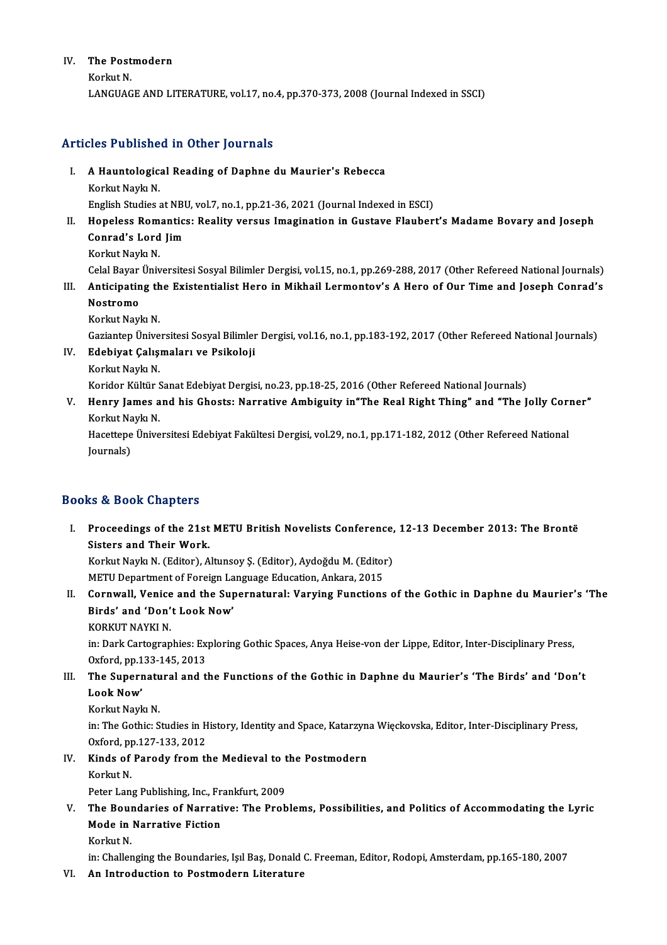# IV. The Postmodern The Post<br>Korkut N.<br>LANCUAC

Korkut N.<br>LANGUAGE AND LITERATURE, vol.17, no.4, pp.370-373, 2008 (Journal Indexed in SSCI)

#### Articles Published in Other Journals

- rticles Published in Other Journals<br>I. A Hauntological Reading of Daphne du Maurier's Rebecca<br>Korkut Navla N Korkut Naykındı<br>A Hauntologic:<br>Korkut Naykı N.
	-

Korkut Naykı N.<br>English Studies at NBU, vol.7, no.1, pp.21-36, 2021 (Journal Indexed in ESCI)

## Korkut Naykı N.<br>Inglish Studies at NBU, vol.7, no.1, pp.21-36, 2021 (Journal Indexed in ESCI)<br>II. Hopeless Romantics: Reality versus Imagination in Gustave Flaubert's Madame Bovary and Joseph<br>Conrad's Lord Jim English Studies at NBI<br>Hopeless Romantic:<br>Conrad's Lord Jim<br>Korlat Novla N Conrad's Lord Jim<br>Korkut Naykı N.

Celal Bayar Üniversitesi Sosyal Bilimler Dergisi, vol.15, no.1, pp.269-288, 2017 (Other Refereed National Journals)

Korkut Naykı N.<br>15, no.1, pp.269-288, 2017 (Other Refereed National Journals) Celal Bayar Üniversitesi Sosyal Bilimler Dergisi, vol.15, no.1, pp.269-288, 2017 (Other Refereed National Journals)<br>11. Anticipating the Existen Celal Bayar<br><mark>Anticipatin</mark><br>Nostromo<br>Korlut Novl Anticipating th<br>Nostromo<br>Korkut Naykı N.<br>Cariantan Ünive Nostromo<br>Korkut Naykı N.<br>Gaziantep Üniversitesi Sosyal Bilimler Dergisi, vol.16, no.1, pp.183-192, 2017 (Other Refereed National Journals)<br>Edebiyet Calismaları ve Bailreloji

- Korkut Naykı N.<br>Gaziantep Üniversitesi Sosyal Bilimler<br>IV. Edebiyat Çalışmaları ve Psikoloji<br>Korkut Navkı N. Gaziantep Ünive<br><mark>Edebiyat Çalış</mark>ı<br>Korkut Naykı N.<br>Korider Kültür S
	-

Edebiyat Çalışmaları ve Psikoloji<br>Korkut Naykı N.<br>Koridor Kültür Sanat Edebiyat Dergisi, no.23, pp.18-25, 2016 (Other Refereed National Journals)<br>Honry Jomes and bis Chosts: Narratiya Ambiguity in"The Beal Bisht Thing" and

Korkut Naykı N.<br>Koridor Kültür Sanat Edebiyat Dergisi, no.23, pp.18-25, 2016 (Other Refereed National Journals)<br>V. Henry James and his Ghosts: Narrative Ambiguity in"The Real Right Thing" and "The Jolly Corner"<br>Korlut Koridor Kültür S<br><mark>Henry James a</mark><br>Korkut Naykı N.<br>Hacettene Ünive Henry James and his Ghosts: Narrative Ambiguity in"The Real Right Thing" and "The Jolly Cori<br>Korkut Naykı N.<br>Hacettepe Üniversitesi Edebiyat Fakültesi Dergisi, vol.29, no.1, pp.171-182, 2012 (Other Refereed National<br>Journa

Korkut Naykı N.<br>Hacettepe Üniversitesi Edebiyat Fakültesi Dergisi, vol.29, no.1, pp.171-182, 2012 (Other Refereed National<br>Journals)

### Books&Book Chapters

ooks & Book Chapters<br>I. Proceedings of the 21st METU British Novelists Conference, 12-13 December 2013: The Brontë<br>Sisters and Their Work side Book dimercies<br>Proceedings of the 21st<br>Sisters and Their Work.<br>Korlat Novia N. (Editor) A Proceedings of the 21st METU British Novelists Conference,<br>Sisters and Their Work.<br>Korkut Naykı N. (Editor), Altunsoy Ş. (Editor), Aydoğdu M. (Editor)<br>METU Department of Foreign Language Education, Ankara, 2015

Sisters and Their Work.<br>Korkut Naykı N. (Editor), Altunsoy Ş. (Editor), Aydoğdu M. (Editol<br>METU Department of Foreign Language Education, Ankara, 2015<br>Connwell, Vonice and the Sunonnatural: Vorving Eungtions

Korkut Naykı N. (Editor), Altunsoy Ş. (Editor), Aydoğdu M. (Editor)<br>METU Department of Foreign Language Education, Ankara, 2015<br>II. Cornwall, Venice and the Supernatural: Varying Functions of the Gothic in Daphne du Maurie **METU Department of Foreign La<br>Cornwall, Venice and the Sup<br>Birds' and 'Don't Look Now'**<br>KORKUT NAYKLN Cornwall, Venice<br>Birds' and 'Don'<br>KORKUT NAYKI N.<br>in: Dark Cartegran

Birds' and 'Don't Look Now'<br>KORKUT NAYKI N.<br>in: Dark Cartographies: Exploring Gothic Spaces, Anya Heise-von der Lippe, Editor, Inter-Disciplinary Press,<br>Ovford, pp.133, 145, 2013 KORKUT NAYKI N.<br>in: Dark Cartographies: Ex<br>Oxford, pp.133-145, 2013<br>The Sunornatural and t In: Dark Cartographies: Exploring Gothic Spaces, Anya Heise-von der Lippe, Editor, Inter-Disciplinary Press,<br>Oxford, pp.133-145, 2013<br>III. The Supernatural and the Functions of the Gothic in Daphne du Maurier's 'The Birds'

# Oxford, pp.1<br>The Supern<br>Look Now'<br>Korlut Novl The Supernatu<br>Look Now'<br>Korkut Naykı N.<br>in:The Cothie: S

Look Now'<br>Korkut Naykı N.<br>in: The Gothic: Studies in History, Identity and Space, Katarzyna Więckovska, Editor, Inter-Disciplinary Press,<br>Orford, pp.127,133, 2012 Korkut Naykı N.<br>in: The Gothic: Studies in H<br>Oxford, pp.127-133, 2012<br>Kinde of Banady from th 0xford, pp 127-133, 2012

IV. Kinds of Parody from the Medieval to the Postmodern<br>Korkut N. Kinds of Parody from the Medieval to t<br>Korkut N.<br>Peter Lang Publishing, Inc., Frankfurt, 2009<br>The Boundaries of Narrative: The Brob

Korkut N.<br>Peter Lang Publishing, Inc., Frankfurt, 2009<br>V. The Boundaries of Narrative: The Problems, Possibilities, and Politics of Accommodating the Lyric<br>Mode in Narrative Eistien Peter Lang Publishing, Inc., Fr.<br>The Boundaries of Narrati<br>Mode in Narrative Fiction<br>Korlut N The Boul<br>Mode in<br>Korkut N.<br>in Challer Mode in Narrative Fiction<br>Korkut N.<br>in: Challenging the Boundaries, Isıl Bas, Donald C. Freeman, Editor, Rodopi, Amsterdam, pp.165-180, 2007

VI. An Introduction to Postmodern Literature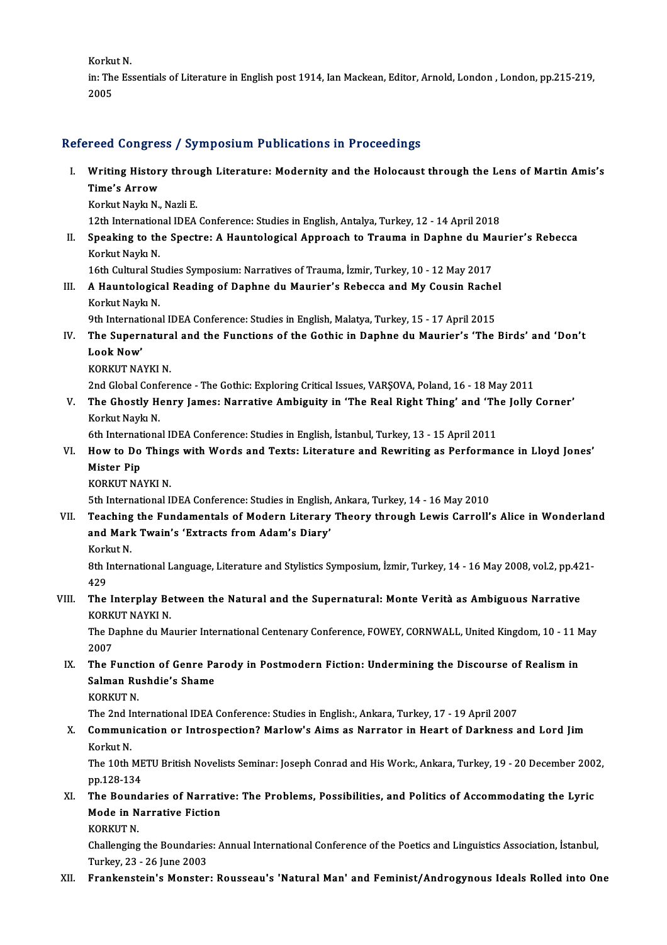Korkut N.

Korkut N.<br>in: The Essentials of Literature in English post 1914, Ian Mackean, Editor, Arnold, London, London, pp.215-219,<br>2005 Korku<br>in: Tho<br>2005

# 2005<br>Refereed Congress / Symposium Publications in Proceedings

efereed Congress / Symposium Publications in Proceedings<br>I. Writing History through Literature: Modernity and the Holocaust through the Lens of Martin Amis's<br>Time's Arrew Tood Gongree<br>Writing Histor<br>Time's Arrow<br>Korlat Navla N Writing History throu<br>Time's Arrow<br>Korkut Naykı N., Nazli E.<br>12th International IDEA

Ti<mark>me's Arrow</mark><br>Korkut Naykı N., Nazli E.<br>12th International IDEA Conference: Studies in English, Antalya, Turkey, 12 - 14 April 2018

Korkut Naykı N., Nazli E.<br>12th International IDEA Conference: Studies in English, Antalya, Turkey, 12 - 14 April 2018<br>II. Speaking to the Spectre: A Hauntological Approach to Trauma in Daphne du Maurier's Rebecca<br>Kerlu 12th Internation<br>Speaking to th<br>Korkut Naykı N.<br>16th Cultural St Speaking to the Spectre: A Hauntological Approach to Trauma in Daphne du Ma<br>Korkut Naykı N.<br>16th Cultural Studies Symposium: Narratives of Trauma, İzmir, Turkey, 10 - 12 May 2017<br>A Hauntological Boading of Daphno du Maunie

## Korkut Naykı N.<br>16th Cultural Studies Symposium: Narratives of Trauma, İzmir, Turkey, 10 - 12 May 2017<br>III. A Hauntological Reading of Daphne du Maurier's Rebecca and My Cousin Rachel<br>Korkyt Navk N 16th Cultural Studies Symposium: Narratives of Trauma, İzmir, Turkey, 10 - 12 May 2017<br>A Hauntological Reading of Daphne du Maurier's Rebecca and My Cousin Rache<br>Korkut Naykı N.<br>9th International IDEA Conference: Studies i A Hauntological Reading of Daphne du Maurier's Rebecca and My Cousin Rache<br>Korkut Naykı N.<br>9th International IDEA Conference: Studies in English, Malatya, Turkey, 15 - 17 April 2015<br>The Supernatural and the Eunstiens of th

- Korkut Naykı N.<br>9th International IDEA Conference: Studies in English, Malatya, Turkey, 15 17 April 2015<br>IV. The Supernatural and the Functions of the Gothic in Daphne du Maurier's 'The Birds' and 'Don't<br>Look Now' **9th Internat<br>The Superi<br>Look Now'**<br>KOPKUT NA The Supernatura<br>Look Now'<br>KORKUT NAYKI N.<br>2nd Clobel Confor Look Now'<br>KORKUT NAYKI N.<br>2nd Global Conference - The Gothic: Exploring Critical Issues, VARŞOVA, Poland, 16 - 18 May 2011
	-

KORKUT NAYKI N.<br>2nd Global Conference - The Gothic: Exploring Critical Issues, VARŞOVA, Poland, 16 - 18 May 2011<br>20 V. The Ghostly Henry James: Narrative Ambiguity in 'The Real Right Thing' and 'The Jolly Corner'<br>Kerla 2nd Global Conf<br>The Ghostly He<br>Korkut Naykı N.<br><sup>6th Internationa</sup> The Ghostly Henry James: Narrative Ambiguity in 'The Real Right Thing' and 'Th<br>Korkut Naykı N.<br>6th International IDEA Conference: Studies in English, İstanbul, Turkey, 13 - 15 April 2011<br>How to De Things with Words and Toy

6th International IDEA Conference: Studies in English, İstanbul, Turkey, 13 - 15 April 2011

- Korkut Naykı N.<br>6th International IDEA Conference: Studies in English, İstanbul, Turkey, 13 15 April 2011<br>7. How to Do Things with Words and Texts: Literature and Rewriting as Performance in Lloyd Jones<br>19 Mister Pip
	- KORKUT NAYKI N.

5th International IDEAConference:Studies inEnglish,Ankara,Turkey,14 -16May2010

- KORKUT NAYKI N.<br>5th International IDEA Conference: Studies in English, Ankara, Turkey, 14 16 May 2010<br>VII. Teaching the Fundamentals of Modern Literary Theory through Lewis Carroll's Alice in Wonderland<br>and Mark Tura 5th International IDEA Conference: Studies in English,<br>Teaching the Fundamentals of Modern Literary<br>and Mark Twain's 'Extracts from Adam's Diary'<br>Kerlut N Teaching<br>and Marl<br>Korkut N.<br><sup>Oth Intonn</sup>
	-

and Mark Twain's 'Extracts from Adam's Diary'<br>Korkut N.<br>8th International Language, Literature and Stylistics Symposium, İzmir, Turkey, 14 - 16 May 2008, vol.2, pp.421-<br>429 Kork<br>8th I<br>429<br>The 8th International Language, Literature and Stylistics Symposium, İzmir, Turkey, 14 - 16 May 2008, vol.2, pp.42<br>429<br>VIII. The Interplay Between the Natural and the Supernatural: Monte Verità as Ambiguous Narrative<br>FORVI

429<br>The Interplay Be<br>KORKUT NAYKI N.<br>The Danhne du Me The Interplay Between the Natural and the Supernatural: Monte Verità as Ambiguous Narrative<br>KORKUT NAYKI N.<br>The Daphne du Maurier International Centenary Conference, FOWEY, CORNWALL, United Kingdom, 10 - 11 May<br>2007

KORK<br>The D<br>2007<br>The F The Daphne du Maurier International Centenary Conference, FOWEY, CORNWALL, United Kingdom, 10 - 11 N<br>2007<br>IX. The Function of Genre Parody in Postmodern Fiction: Undermining the Discourse of Realism in<br>Salman Bushdia's Sha

## 2007<br>The Function of Genre Pa<br>Salman Rushdie's Shame<br>KORKUT N The Funct<br>Salman Ru<br>KORKUT N.<br>The 2nd Int Salman Rushdie's Shame<br>KORKUT N.<br>The 2nd International IDEA Conference: Studies in English:, Ankara, Turkey, 17 - 19 April 2007<br>Communisation on Introspection? Marlow's Aims as Narrator in Heart of Darkness s

## KORKUT N.<br>The 2nd International IDEA Conference: Studies in English:, Ankara, Turkey, 17 - 19 April 2007<br>X. Communication or Introspection? Marlow's Aims as Narrator in Heart of Darkness and Lord Jim<br>Korkut N. The 2nd I<br>**Commun**<br>Korkut N.<br>The 10th I Communication or Introspection? Marlow's Aims as Narrator in Heart of Darkness and Lord Jim<br>Korkut N.<br>The 10th METU British Novelists Seminar: Joseph Conrad and His Work:, Ankara, Turkey, 19 - 20 December 2002,<br>nn 129 124

Korkut N.<br>The 10th ME<br>pp.128-134<br>The Bound The 10th METU British Novelists Seminar: Joseph Conrad and His Work:, Ankara, Turkey, 19 - 20 December 200 pp.128-134<br>XI. The Boundaries of Narrative: The Problems, Possibilities, and Politics of Accommodating the Lyric<br>Mo

# pp.128-134<br>The Boundaries of Narrati<br>Mode in Narrative Fiction<br>KORKUT N The Bound<br>Mode in N<br>KORKUT N.<br>Challanging

Mode in Narrative Fiction<br>KORKUT N.<br>Challenging the Boundaries: Annual International Conference of the Poetics and Linguistics Association, İstanbul, KORKUT N.<br>Challenging the Boundaries<br>Turkey, 23 - 26 June 2003<br>Frankonstain's Monstar

## Turkey, 23 - 26 June 2003<br>XII. Prankenstein's Monster: Rousseau's 'Natural Man' and Feminist/Androgynous Ideals Rolled into One